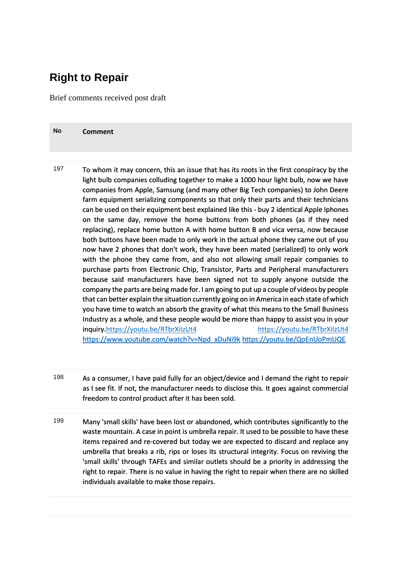## **Right to Repair**

**No Comment**

Brief comments received post draft

| 197 | To whom it may concern, this an issue that has its roots in the first conspiracy by the<br>light bulb companies colluding together to make a 1000 hour light bulb, now we have<br>companies from Apple, Samsung (and many other Big Tech companies) to John Deere<br>farm equipment serializing components so that only their parts and their technicians<br>can be used on their equipment best explained like this - buy 2 identical Apple Iphones<br>on the same day, remove the home buttons from both phones (as if they need<br>replacing), replace home button A with home button B and vica versa, now because<br>both buttons have been made to only work in the actual phone they came out of you<br>now have 2 phones that don't work, they have been mated (serialized) to only work<br>with the phone they came from, and also not allowing small repair companies to<br>purchase parts from Electronic Chip, Transistor, Parts and Peripheral manufacturers<br>because said manufacturers have been signed not to supply anyone outside the<br>company the parts are being made for. I am going to put up a couple of videos by people<br>that can better explain the situation currently going on in America in each state of which<br>you have time to watch an absorb the gravity of what this means to the Small Business<br>Industry as a whole, and these people would be more than happy to assist you in your<br>inquiry.https://youtu.be/RTbrXilzUt4<br>https://youtu.be/RTbrXilzUt4<br>https://www.youtube.com/watch?v=Npd_xDuNi9k_https://youtu.be/QoEnUoPmUQE |
|-----|-----------------------------------------------------------------------------------------------------------------------------------------------------------------------------------------------------------------------------------------------------------------------------------------------------------------------------------------------------------------------------------------------------------------------------------------------------------------------------------------------------------------------------------------------------------------------------------------------------------------------------------------------------------------------------------------------------------------------------------------------------------------------------------------------------------------------------------------------------------------------------------------------------------------------------------------------------------------------------------------------------------------------------------------------------------------------------------------------------------------------------------------------------------------------------------------------------------------------------------------------------------------------------------------------------------------------------------------------------------------------------------------------------------------------------------------------------------------------------------------------------------------------------------------------------------------------------------------|
|     |                                                                                                                                                                                                                                                                                                                                                                                                                                                                                                                                                                                                                                                                                                                                                                                                                                                                                                                                                                                                                                                                                                                                                                                                                                                                                                                                                                                                                                                                                                                                                                                         |

- 198 As a consumer, I have paid fully for an object/device and I demand the right to repair as I see fit. If not, the manufacturer needs to disclose this. It goes against commercial freedom to control product after it has been sold.
- 199 Many 'small skills' have been lost or abandoned, which contributes significantly to the waste mountain. A case in point is umbrella repair. It used to be possible to have these items repaired and re-covered but today we are expected to discard and replace any umbrella that breaks a rib, rips or loses its structural integrity. Focus on reviving the 'small skills' through TAFEs and similar outlets should be a priority in addressing the right to repair. There is no value in having the right to repair when there are no skilled individuals available to make those repairs.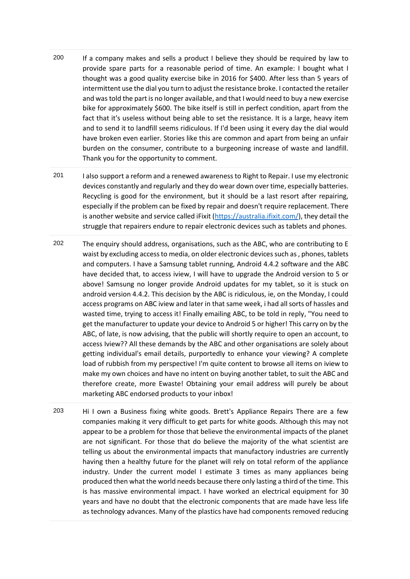- 200 If a company makes and sells a product I believe they should be required by law to provide spare parts for a reasonable period of time. An example: I bought what I thought was a good quality exercise bike in 2016 for \$400. After less than 5 years of intermittent use the dial you turn to adjust the resistance broke. I contacted the retailer and was told the part is no longer available, and that I would need to buy a new exercise bike for approximately \$600. The bike itself is still in perfect condition, apart from the fact that it's useless without being able to set the resistance. It is a large, heavy item and to send it to landfill seems ridiculous. If I'd been using it every day the dial would have broken even earlier. Stories like this are common and apart from being an unfair burden on the consumer, contribute to a burgeoning increase of waste and landfill. Thank you for the opportunity to comment.
- 201 I also support a reform and a renewed awareness to Right to Repair. I use my electronic devices constantly and regularly and they do wear down over time, especially batteries. Recycling is good for the environment, but it should be a last resort after repairing, especially if the problem can be fixed by repair and doesn't require replacement. There is another website and service called iFixit [\(https://australia.ifixit.com/\)](https://australia.ifixit.com/), they detail the struggle that repairers endure to repair electronic devices such as tablets and phones.
- 202 The enquiry should address, organisations, such as the ABC, who are contributing to E waist by excluding access to media, on older electronic devices such as , phones, tablets and computers. I have a Samsung tablet running, Android 4.4.2 software and the ABC have decided that, to access iview, I will have to upgrade the Android version to 5 or above! Samsung no longer provide Android updates for my tablet, so it is stuck on android version 4.4.2. This decision by the ABC is ridiculous, ie, on the Monday, I could access programs on ABC iview and later in that same week, i had all sorts of hassles and wasted time, trying to access it! Finally emailing ABC, to be told in reply, "You need to get the manufacturer to update your device to Android 5 or higher! This carry on by the ABC, of late, is now advising, that the public will shortly require to open an account, to access Iview?? All these demands by the ABC and other organisations are solely about getting individual's email details, purportedly to enhance your viewing? A complete load of rubbish from my perspective! I'm quite content to browse all items on iview to make my own choices and have no intent on buying another tablet, to suit the ABC and therefore create, more Ewaste! Obtaining your email address will purely be about marketing ABC endorsed products to your inbox!
- 203 Hi I own a Business fixing white goods. Brett's Appliance Repairs There are a few companies making it very difficult to get parts for white goods. Although this may not appear to be a problem for those that believe the environmental impacts of the planet are not significant. For those that do believe the majority of the what scientist are telling us about the environmental impacts that manufactory industries are currently having then a healthy future for the planet will rely on total reform of the appliance industry. Under the current model I estimate 3 times as many appliances being produced then what the world needs because there only lasting a third of the time. This is has massive environmental impact. I have worked an electrical equipment for 30 years and have no doubt that the electronic components that are made have less life as technology advances. Many of the plastics have had components removed reducing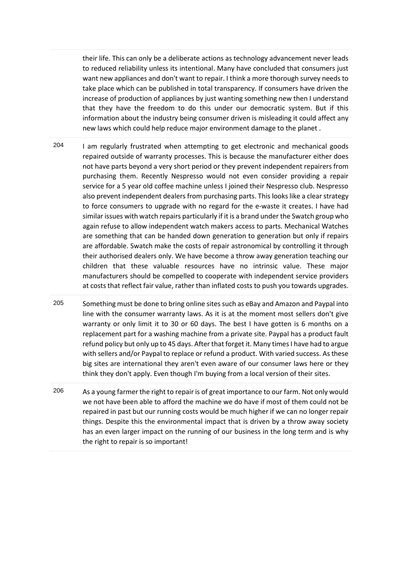their life. This can only be a deliberate actions as technology advancement never leads to reduced reliability unless its intentional. Many have concluded that consumers just want new appliances and don't want to repair. I think a more thorough survey needs to take place which can be published in total transparency. If consumers have driven the increase of production of appliances by just wanting something new then I understand that they have the freedom to do this under our democratic system. But if this information about the industry being consumer driven is misleading it could affect any new laws which could help reduce major environment damage to the planet .

- 204 I am regularly frustrated when attempting to get electronic and mechanical goods repaired outside of warranty processes. This is because the manufacturer either does not have parts beyond a very short period or they prevent independent repairers from purchasing them. Recently Nespresso would not even consider providing a repair service for a 5 year old coffee machine unless I joined their Nespresso club. Nespresso also prevent independent dealers from purchasing parts. This looks like a clear strategy to force consumers to upgrade with no regard for the e-waste it creates. I have had similar issues with watch repairs particularly if it is a brand under the Swatch group who again refuse to allow independent watch makers access to parts. Mechanical Watches are something that can be handed down generation to generation but only if repairs are affordable. Swatch make the costs of repair astronomical by controlling it through their authorised dealers only. We have become a throw away generation teaching our children that these valuable resources have no intrinsic value. These major manufacturers should be compelled to cooperate with independent service providers at costs that reflect fair value, rather than inflated costs to push you towards upgrades.
- 205 Something must be done to bring online sites such as eBay and Amazon and Paypal into line with the consumer warranty laws. As it is at the moment most sellers don't give warranty or only limit it to 30 or 60 days. The best I have gotten is 6 months on a replacement part for a washing machine from a private site. Paypal has a product fault refund policy but only up to 45 days. After that forget it. Many times I have had to argue with sellers and/or Paypal to replace or refund a product. With varied success. As these big sites are international they aren't even aware of our consumer laws here or they think they don't apply. Even though I'm buying from a local version of their sites.
- 206 As a young farmer the right to repair is of great importance to our farm. Not only would we not have been able to afford the machine we do have if most of them could not be repaired in past but our running costs would be much higher if we can no longer repair things. Despite this the environmental impact that is driven by a throw away society has an even larger impact on the running of our business in the long term and is why the right to repair is so important!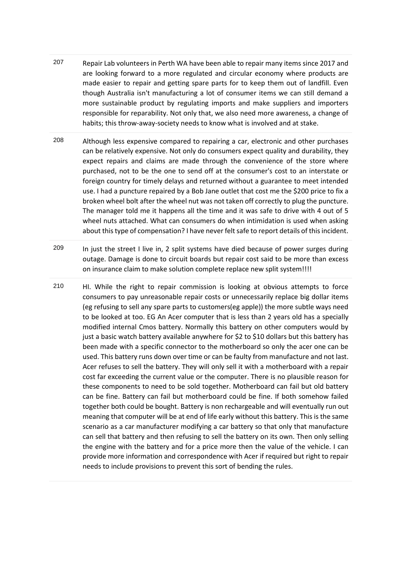- 207 Repair Lab volunteers in Perth WA have been able to repair many items since 2017 and are looking forward to a more regulated and circular economy where products are made easier to repair and getting spare parts for to keep them out of landfill. Even though Australia isn't manufacturing a lot of consumer items we can still demand a more sustainable product by regulating imports and make suppliers and importers responsible for reparability. Not only that, we also need more awareness, a change of habits; this throw-away-society needs to know what is involved and at stake.
- 208 Although less expensive compared to repairing a car, electronic and other purchases can be relatively expensive. Not only do consumers expect quality and durability, they expect repairs and claims are made through the convenience of the store where purchased, not to be the one to send off at the consumer's cost to an interstate or foreign country for timely delays and returned without a guarantee to meet intended use. I had a puncture repaired by a Bob Jane outlet that cost me the \$200 price to fix a broken wheel bolt after the wheel nut was not taken off correctly to plug the puncture. The manager told me it happens all the time and it was safe to drive with 4 out of 5 wheel nuts attached. What can consumers do when intimidation is used when asking about this type of compensation? I have never felt safe to report details of this incident.
- 209 In just the street I live in, 2 split systems have died because of power surges during outage. Damage is done to circuit boards but repair cost said to be more than excess on insurance claim to make solution complete replace new split system!!!!
- 210 HI. While the right to repair commission is looking at obvious attempts to force consumers to pay unreasonable repair costs or unnecessarily replace big dollar items (eg refusing to sell any spare parts to customers(eg apple)) the more subtle ways need to be looked at too. EG An Acer computer that is less than 2 years old has a specially modified internal Cmos battery. Normally this battery on other computers would by just a basic watch battery available anywhere for \$2 to \$10 dollars but this battery has been made with a specific connector to the motherboard so only the acer one can be used. This battery runs down over time or can be faulty from manufacture and not last. Acer refuses to sell the battery. They will only sell it with a motherboard with a repair cost far exceeding the current value or the computer. There is no plausible reason for these components to need to be sold together. Motherboard can fail but old battery can be fine. Battery can fail but motherboard could be fine. If both somehow failed together both could be bought. Battery is non rechargeable and will eventually run out meaning that computer will be at end of life early without this battery. This is the same scenario as a car manufacturer modifying a car battery so that only that manufacture can sell that battery and then refusing to sell the battery on its own. Then only selling the engine with the battery and for a price more then the value of the vehicle. I can provide more information and correspondence with Acer if required but right to repair needs to include provisions to prevent this sort of bending the rules.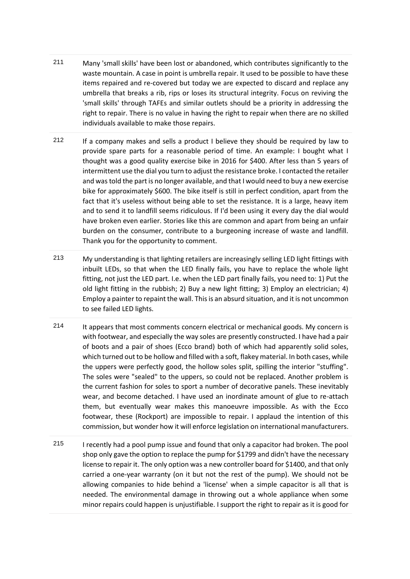- 211 Many 'small skills' have been lost or abandoned, which contributes significantly to the waste mountain. A case in point is umbrella repair. It used to be possible to have these items repaired and re-covered but today we are expected to discard and replace any umbrella that breaks a rib, rips or loses its structural integrity. Focus on reviving the 'small skills' through TAFEs and similar outlets should be a priority in addressing the right to repair. There is no value in having the right to repair when there are no skilled individuals available to make those repairs.
- 212 If a company makes and sells a product I believe they should be required by law to provide spare parts for a reasonable period of time. An example: I bought what I thought was a good quality exercise bike in 2016 for \$400. After less than 5 years of intermittent use the dial you turn to adjust the resistance broke. I contacted the retailer and was told the part is no longer available, and that I would need to buy a new exercise bike for approximately \$600. The bike itself is still in perfect condition, apart from the fact that it's useless without being able to set the resistance. It is a large, heavy item and to send it to landfill seems ridiculous. If I'd been using it every day the dial would have broken even earlier. Stories like this are common and apart from being an unfair burden on the consumer, contribute to a burgeoning increase of waste and landfill. Thank you for the opportunity to comment.
- 213 My understanding is that lighting retailers are increasingly selling LED light fittings with inbuilt LEDs, so that when the LED finally fails, you have to replace the whole light fitting, not just the LED part. I.e. when the LED part finally fails, you need to: 1) Put the old light fitting in the rubbish; 2) Buy a new light fitting; 3) Employ an electrician; 4) Employ a painter to repaint the wall. This is an absurd situation, and it is not uncommon to see failed LED lights.
- 214 It appears that most comments concern electrical or mechanical goods. My concern is with footwear, and especially the way soles are presently constructed. I have had a pair of boots and a pair of shoes (Ecco brand) both of which had apparently solid soles, which turned out to be hollow and filled with a soft, flakey material. In both cases, while the uppers were perfectly good, the hollow soles split, spilling the interior "stuffing". The soles were "sealed" to the uppers, so could not be replaced. Another problem is the current fashion for soles to sport a number of decorative panels. These inevitably wear, and become detached. I have used an inordinate amount of glue to re-attach them, but eventually wear makes this manoeuvre impossible. As with the Ecco footwear, these (Rockport) are impossible to repair. I applaud the intention of this commission, but wonder how it will enforce legislation on international manufacturers.
- 215 I recently had a pool pump issue and found that only a capacitor had broken. The pool shop only gave the option to replace the pump for \$1799 and didn't have the necessary license to repair it. The only option was a new controller board for \$1400, and that only carried a one-year warranty (on it but not the rest of the pump). We should not be allowing companies to hide behind a 'license' when a simple capacitor is all that is needed. The environmental damage in throwing out a whole appliance when some minor repairs could happen is unjustifiable. I support the right to repair as it is good for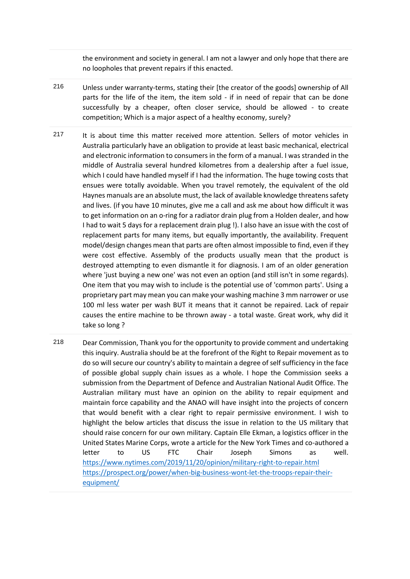the environment and society in general. I am not a lawyer and only hope that there are no loopholes that prevent repairs if this enacted.

- 216 Unless under warranty-terms, stating their [the creator of the goods] ownership of All parts for the life of the item, the item sold - if in need of repair that can be done successfully by a cheaper, often closer service, should be allowed - to create competition; Which is a major aspect of a healthy economy, surely?
- 217 It is about time this matter received more attention. Sellers of motor vehicles in Australia particularly have an obligation to provide at least basic mechanical, electrical and electronic information to consumers in the form of a manual. I was stranded in the middle of Australia several hundred kilometres from a dealership after a fuel issue, which I could have handled myself if I had the information. The huge towing costs that ensues were totally avoidable. When you travel remotely, the equivalent of the old Haynes manuals are an absolute must, the lack of available knowledge threatens safety and lives. (if you have 10 minutes, give me a call and ask me about how difficult it was to get information on an o-ring for a radiator drain plug from a Holden dealer, and how I had to wait 5 days for a replacement drain plug !). I also have an issue with the cost of replacement parts for many items, but equally importantly, the availability. Frequent model/design changes mean that parts are often almost impossible to find, even if they were cost effective. Assembly of the products usually mean that the product is destroyed attempting to even dismantle it for diagnosis. I am of an older generation where 'just buying a new one' was not even an option (and still isn't in some regards). One item that you may wish to include is the potential use of 'common parts'. Using a proprietary part may mean you can make your washing machine 3 mm narrower or use 100 ml less water per wash BUT it means that it cannot be repaired. Lack of repair causes the entire machine to be thrown away - a total waste. Great work, why did it take so long ?
- 218 Dear Commission, Thank you for the opportunity to provide comment and undertaking this inquiry. Australia should be at the forefront of the Right to Repair movement as to do so will secure our country's ability to maintain a degree of self sufficiency in the face of possible global supply chain issues as a whole. I hope the Commission seeks a submission from the Department of Defence and Australian National Audit Office. The Australian military must have an opinion on the ability to repair equipment and maintain force capability and the ANAO will have insight into the projects of concern that would benefit with a clear right to repair permissive environment. I wish to highlight the below articles that discuss the issue in relation to the US military that should raise concern for our own military. Captain Elle Ekman, a logistics officer in the United States Marine Corps, wrote a article for the New York Times and co-authored a letter to US FTC Chair Joseph Simons as well. <https://www.nytimes.com/2019/11/20/opinion/military-right-to-repair.html> [https://prospect.org/power/when-big-business-wont-let-the-troops-repair-their](https://prospect.org/power/when-big-business-wont-let-the-troops-repair-their-equipment/)[equipment/](https://prospect.org/power/when-big-business-wont-let-the-troops-repair-their-equipment/)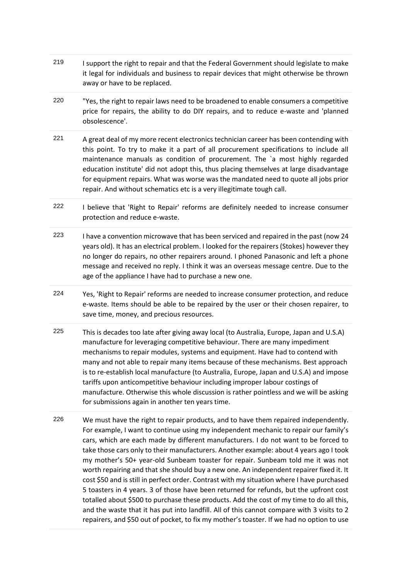- 219 I support the right to repair and that the Federal Government should legislate to make it legal for individuals and business to repair devices that might otherwise be thrown away or have to be replaced.
- 220 "Yes, the right to repair laws need to be broadened to enable consumers a competitive price for repairs, the ability to do DIY repairs, and to reduce e-waste and 'planned obsolescence'.
- 221 A great deal of my more recent electronics technician career has been contending with this point. To try to make it a part of all procurement specifications to include all maintenance manuals as condition of procurement. The `a most highly regarded education institute' did not adopt this, thus placing themselves at large disadvantage for equipment repairs. What was worse was the mandated need to quote all jobs prior repair. And without schematics etc is a very illegitimate tough call.
- 222 I believe that 'Right to Repair' reforms are definitely needed to increase consumer protection and reduce e-waste.
- 223 I have a convention microwave that has been serviced and repaired in the past (now 24 years old). It has an electrical problem. I looked for the repairers (Stokes) however they no longer do repairs, no other repairers around. I phoned Panasonic and left a phone message and received no reply. I think it was an overseas message centre. Due to the age of the appliance I have had to purchase a new one.
- 224 Yes, 'Right to Repair' reforms are needed to increase consumer protection, and reduce e-waste. Items should be able to be repaired by the user or their chosen repairer, to save time, money, and precious resources.
- 225 This is decades too late after giving away local (to Australia, Europe, Japan and U.S.A) manufacture for leveraging competitive behaviour. There are many impediment mechanisms to repair modules, systems and equipment. Have had to contend with many and not able to repair many items because of these mechanisms. Best approach is to re-establish local manufacture (to Australia, Europe, Japan and U.S.A) and impose tariffs upon anticompetitive behaviour including improper labour costings of manufacture. Otherwise this whole discussion is rather pointless and we will be asking for submissions again in another ten years time.
- 226 We must have the right to repair products, and to have them repaired independently. For example, I want to continue using my independent mechanic to repair our family's cars, which are each made by different manufacturers. I do not want to be forced to take those cars only to their manufacturers. Another example: about 4 years ago I took my mother's 50+ year-old Sunbeam toaster for repair. Sunbeam told me it was not worth repairing and that she should buy a new one. An independent repairer fixed it. It cost \$50 and is still in perfect order. Contrast with my situation where I have purchased 5 toasters in 4 years. 3 of those have been returned for refunds, but the upfront cost totalled about \$500 to purchase these products. Add the cost of my time to do all this, and the waste that it has put into landfill. All of this cannot compare with 3 visits to 2 repairers, and \$50 out of pocket, to fix my mother's toaster. If we had no option to use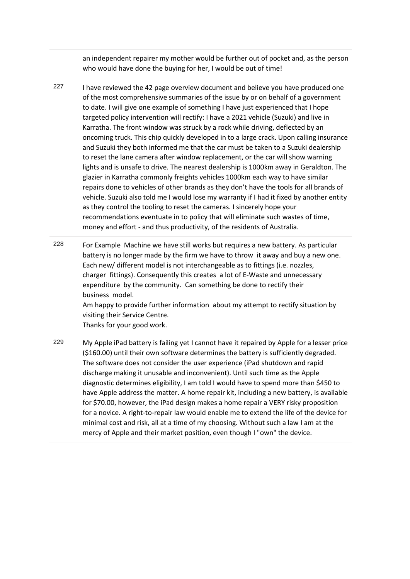an independent repairer my mother would be further out of pocket and, as the person who would have done the buying for her, I would be out of time!

- 227 I have reviewed the 42 page overview document and believe you have produced one of the most comprehensive summaries of the issue by or on behalf of a government to date. I will give one example of something I have just experienced that I hope targeted policy intervention will rectify: I have a 2021 vehicle (Suzuki) and live in Karratha. The front window was struck by a rock while driving, deflected by an oncoming truck. This chip quickly developed in to a large crack. Upon calling insurance and Suzuki they both informed me that the car must be taken to a Suzuki dealership to reset the lane camera after window replacement, or the car will show warning lights and is unsafe to drive. The nearest dealership is 1000km away in Geraldton. The glazier in Karratha commonly freights vehicles 1000km each way to have similar repairs done to vehicles of other brands as they don't have the tools for all brands of vehicle. Suzuki also told me I would lose my warranty if I had it fixed by another entity as they control the tooling to reset the cameras. I sincerely hope your recommendations eventuate in to policy that will eliminate such wastes of time, money and effort - and thus productivity, of the residents of Australia.
- 228 For Example Machine we have still works but requires a new battery. As particular battery is no longer made by the firm we have to throw it away and buy a new one. Each new/ different model is not interchangeable as to fittings (i.e. nozzles, charger fittings). Consequently this creates a lot of E-Waste and unnecessary expenditure by the community. Can something be done to rectify their business model. Am happy to provide further information about my attempt to rectify situation by visiting their Service Centre. Thanks for your good work.
- 229 My Apple iPad battery is failing yet I cannot have it repaired by Apple for a lesser price (\$160.00) until their own software determines the battery is sufficiently degraded. The software does not consider the user experience (iPad shutdown and rapid discharge making it unusable and inconvenient). Until such time as the Apple diagnostic determines eligibility, I am told I would have to spend more than \$450 to have Apple address the matter. A home repair kit, including a new battery, is available for \$70.00, however, the iPad design makes a home repair a VERY risky proposition for a novice. A right-to-repair law would enable me to extend the life of the device for minimal cost and risk, all at a time of my choosing. Without such a law I am at the mercy of Apple and their market position, even though I "own" the device.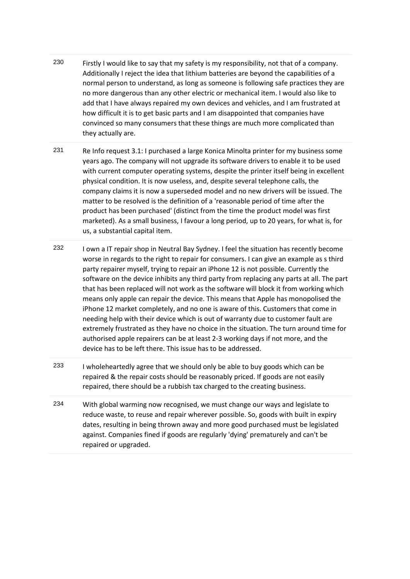- 230 Firstly I would like to say that my safety is my responsibility, not that of a company. Additionally I reject the idea that lithium batteries are beyond the capabilities of a normal person to understand, as long as someone is following safe practices they are no more dangerous than any other electric or mechanical item. I would also like to add that I have always repaired my own devices and vehicles, and I am frustrated at how difficult it is to get basic parts and I am disappointed that companies have convinced so many consumers that these things are much more complicated than they actually are.
- 231 Re Info request 3.1: I purchased a large Konica Minolta printer for my business some years ago. The company will not upgrade its software drivers to enable it to be used with current computer operating systems, despite the printer itself being in excellent physical condition. It is now useless, and, despite several telephone calls, the company claims it is now a superseded model and no new drivers will be issued. The matter to be resolved is the definition of a 'reasonable period of time after the product has been purchased' (distinct from the time the product model was first marketed). As a small business, I favour a long period, up to 20 years, for what is, for us, a substantial capital item.
- 232 I own a IT repair shop in Neutral Bay Sydney. I feel the situation has recently become worse in regards to the right to repair for consumers. I can give an example as s third party repairer myself, trying to repair an iPhone 12 is not possible. Currently the software on the device inhibits any third party from replacing any parts at all. The part that has been replaced will not work as the software will block it from working which means only apple can repair the device. This means that Apple has monopolised the iPhone 12 market completely, and no one is aware of this. Customers that come in needing help with their device which is out of warranty due to customer fault are extremely frustrated as they have no choice in the situation. The turn around time for authorised apple repairers can be at least 2-3 working days if not more, and the device has to be left there. This issue has to be addressed.
- 233 I wholeheartedly agree that we should only be able to buy goods which can be repaired & the repair costs should be reasonably priced. If goods are not easily repaired, there should be a rubbish tax charged to the creating business.
- 234 With global warming now recognised, we must change our ways and legislate to reduce waste, to reuse and repair wherever possible. So, goods with built in expiry dates, resulting in being thrown away and more good purchased must be legislated against. Companies fined if goods are regularly 'dying' prematurely and can't be repaired or upgraded.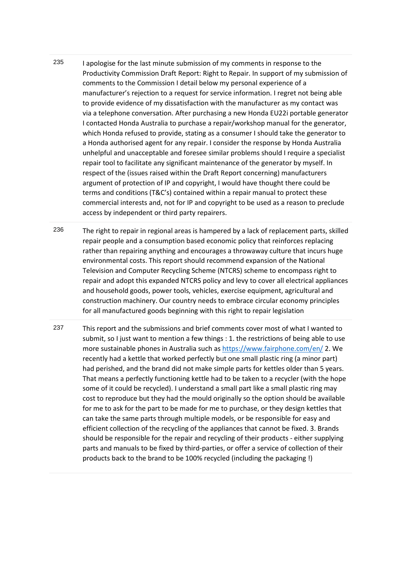- 235 I apologise for the last minute submission of my comments in response to the Productivity Commission Draft Report: Right to Repair. In support of my submission of comments to the Commission I detail below my personal experience of a manufacturer's rejection to a request for service information. I regret not being able to provide evidence of my dissatisfaction with the manufacturer as my contact was via a telephone conversation. After purchasing a new Honda EU22i portable generator I contacted Honda Australia to purchase a repair/workshop manual for the generator, which Honda refused to provide, stating as a consumer I should take the generator to a Honda authorised agent for any repair. I consider the response by Honda Australia unhelpful and unacceptable and foresee similar problems should I require a specialist repair tool to facilitate any significant maintenance of the generator by myself. In respect of the (issues raised within the Draft Report concerning) manufacturers argument of protection of IP and copyright, I would have thought there could be terms and conditions (T&C's) contained within a repair manual to protect these commercial interests and, not for IP and copyright to be used as a reason to preclude access by independent or third party repairers.
- 236 The right to repair in regional areas is hampered by a lack of replacement parts, skilled repair people and a consumption based economic policy that reinforces replacing rather than repairing anything and encourages a throwaway culture that incurs huge environmental costs. This report should recommend expansion of the National Television and Computer Recycling Scheme (NTCRS) scheme to encompass right to repair and adopt this expanded NTCRS policy and levy to cover all electrical appliances and household goods, power tools, vehicles, exercise equipment, agricultural and construction machinery. Our country needs to embrace circular economy principles for all manufactured goods beginning with this right to repair legislation
- 237 This report and the submissions and brief comments cover most of what I wanted to submit, so I just want to mention a few things : 1. the restrictions of being able to use more sustainable phones in Australia such as<https://www.fairphone.com/en/> 2. We recently had a kettle that worked perfectly but one small plastic ring (a minor part) had perished, and the brand did not make simple parts for kettles older than 5 years. That means a perfectly functioning kettle had to be taken to a recycler (with the hope some of it could be recycled). I understand a small part like a small plastic ring may cost to reproduce but they had the mould originally so the option should be available for me to ask for the part to be made for me to purchase, or they design kettles that can take the same parts through multiple models, or be responsible for easy and efficient collection of the recycling of the appliances that cannot be fixed. 3. Brands should be responsible for the repair and recycling of their products - either supplying parts and manuals to be fixed by third-parties, or offer a service of collection of their products back to the brand to be 100% recycled (including the packaging !)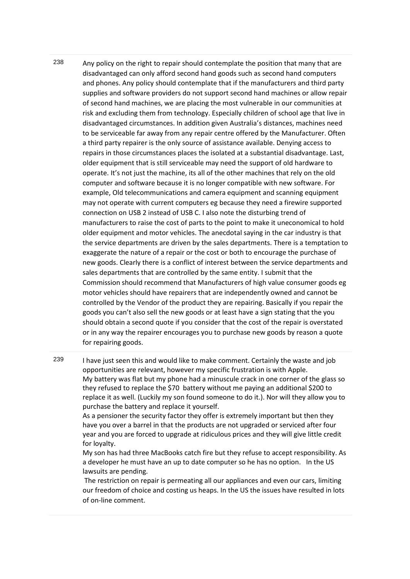238 Any policy on the right to repair should contemplate the position that many that are disadvantaged can only afford second hand goods such as second hand computers and phones. Any policy should contemplate that if the manufacturers and third party supplies and software providers do not support second hand machines or allow repair of second hand machines, we are placing the most vulnerable in our communities at risk and excluding them from technology. Especially children of school age that live in disadvantaged circumstances. In addition given Australia's distances, machines need to be serviceable far away from any repair centre offered by the Manufacturer. Often a third party repairer is the only source of assistance available. Denying access to repairs in those circumstances places the isolated at a substantial disadvantage. Last, older equipment that is still serviceable may need the support of old hardware to operate. It's not just the machine, its all of the other machines that rely on the old computer and software because it is no longer compatible with new software. For example, Old telecommunications and camera equipment and scanning equipment may not operate with current computers eg because they need a firewire supported connection on USB 2 instead of USB C. I also note the disturbing trend of manufacturers to raise the cost of parts to the point to make it uneconomical to hold older equipment and motor vehicles. The anecdotal saying in the car industry is that the service departments are driven by the sales departments. There is a temptation to exaggerate the nature of a repair or the cost or both to encourage the purchase of new goods. Clearly there is a conflict of interest between the service departments and sales departments that are controlled by the same entity. I submit that the Commission should recommend that Manufacturers of high value consumer goods eg motor vehicles should have repairers that are independently owned and cannot be controlled by the Vendor of the product they are repairing. Basically if you repair the goods you can't also sell the new goods or at least have a sign stating that the you should obtain a second quote if you consider that the cost of the repair is overstated or in any way the repairer encourages you to purchase new goods by reason a quote for repairing goods.

239 I have just seen this and would like to make comment. Certainly the waste and job opportunities are relevant, however my specific frustration is with Apple. My battery was flat but my phone had a minuscule crack in one corner of the glass so they refused to replace the \$70 battery without me paying an additional \$200 to replace it as well. (Luckily my son found someone to do it.). Nor will they allow you to purchase the battery and replace it yourself.

As a pensioner the security factor they offer is extremely important but then they have you over a barrel in that the products are not upgraded or serviced after four year and you are forced to upgrade at ridiculous prices and they will give little credit for loyalty.

My son has had three MacBooks catch fire but they refuse to accept responsibility. As a developer he must have an up to date computer so he has no option. In the US lawsuits are pending.

The restriction on repair is permeating all our appliances and even our cars, limiting our freedom of choice and costing us heaps. In the US the issues have resulted in lots of on-line comment.